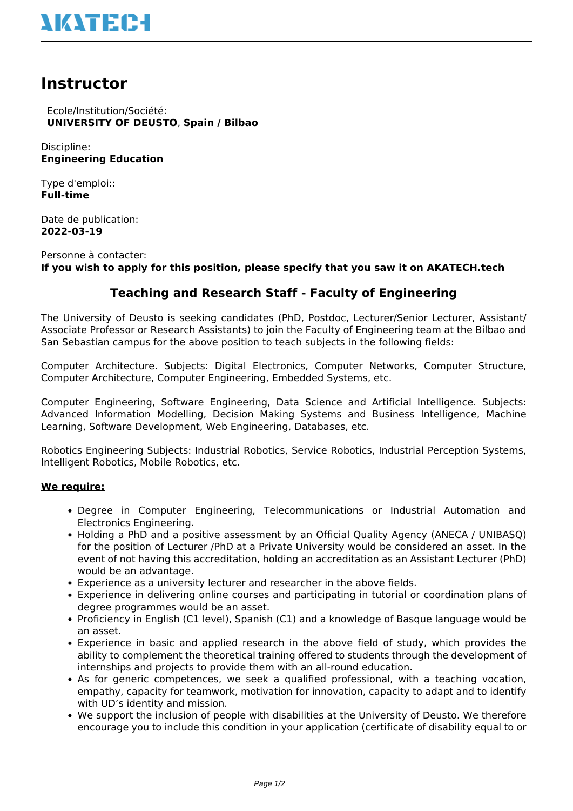# **NATEC-I**

## **Instructor**

 Ecole/Institution/Société: **UNIVERSITY OF DEUSTO**, **Spain / Bilbao**

Discipline: **Engineering Education**

Type d'emploi:: **Full-time**

Date de publication: **2022-03-19**

Personne à contacter: **If you wish to apply for this position, please specify that you saw it on AKATECH.tech**

### **Teaching and Research Staff - Faculty of Engineering**

The University of Deusto is seeking candidates (PhD, Postdoc, Lecturer/Senior Lecturer, Assistant/ Associate Professor or Research Assistants) to join the Faculty of Engineering team at the Bilbao and San Sebastian campus for the above position to teach subjects in the following fields:

Computer Architecture. Subjects: Digital Electronics, Computer Networks, Computer Structure, Computer Architecture, Computer Engineering, Embedded Systems, etc.

Computer Engineering, Software Engineering, Data Science and Artificial Intelligence. Subjects: Advanced Information Modelling, Decision Making Systems and Business Intelligence, Machine Learning, Software Development, Web Engineering, Databases, etc.

Robotics Engineering Subjects: Industrial Robotics, Service Robotics, Industrial Perception Systems, Intelligent Robotics, Mobile Robotics, etc.

#### **We require:**

- Degree in Computer Engineering, Telecommunications or Industrial Automation and Electronics Engineering.
- Holding a PhD and a positive assessment by an Official Quality Agency (ANECA / UNIBASO) for the position of Lecturer /PhD at a Private University would be considered an asset. In the event of not having this accreditation, holding an accreditation as an Assistant Lecturer (PhD) would be an advantage.
- Experience as a university lecturer and researcher in the above fields.
- Experience in delivering online courses and participating in tutorial or coordination plans of degree programmes would be an asset.
- Proficiency in English (C1 level), Spanish (C1) and a knowledge of Basque language would be an asset.
- Experience in basic and applied research in the above field of study, which provides the ability to complement the theoretical training offered to students through the development of internships and projects to provide them with an all-round education.
- As for generic competences, we seek a qualified professional, with a teaching vocation, empathy, capacity for teamwork, motivation for innovation, capacity to adapt and to identify with UD's identity and mission.
- We support the inclusion of people with disabilities at the University of Deusto. We therefore encourage you to include this condition in your application (certificate of disability equal to or